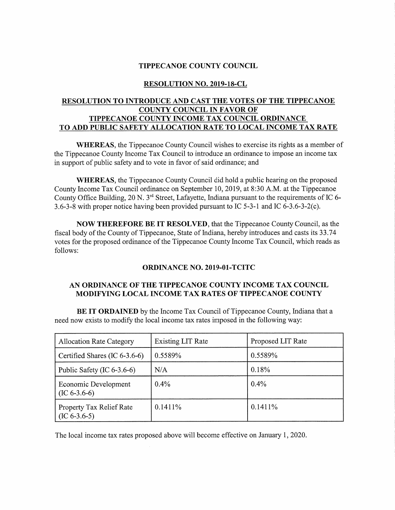#### **TIPPECANOE COUNTY COUNCIL**

### **RESOLUTION NO. 2019-18-CL**

## **RESOLUTION TO INTRODUCE AND CAST THE VOTES OF THE TIPPECANOE COUNTY COUNCIL IN FAVOR OF TIPPECANOE COUNTY INCOME TAX COUNCIL ORDINANCE TO ADD PUBLIC SAFETY ALLOCATION RATE TO LOCAL INCOME TAX RATE**

**WHEREAS,** the Tippecanoe County Council wishes to exercise its rights as <sup>a</sup> member of the Tippecanoe County Income Tax Council to introduce an ordinance to impose an income tax in suppor<sup>t</sup> of public safety and to vote in favor of said ordinance; and

**WHEREAS,** the Tippecanoe County Council did hold <sup>a</sup> public hearing on the proposed County Income Tax Council ordinance on September 10, 2019, at 8:30 A.M. at the Tippecanoe County Office Building, <sup>20</sup> N. 3r<sup>d</sup> Street, Lafayette, Indiana pursuan<sup>t</sup> to the requirements of IC 6- 3.6-3-8 with proper notice having been provided pursuan<sup>t</sup> to IC 5-3-1 and IC 6-3.6-3-2(c).

**NOW THEREFORE BE IT RESOLVED,** that the Tippecanoe County Council, as the fiscal body of the County of Tippecanoe, State of Indiana, hereby introduces and casts its 33.74 votes for the proposed ordinance of the Tippecanoe County Income Tax Council, which reads as follows:

#### **ORDINANCE NO. 2019-01-TCITC**

#### **AN ORDINANCE OF THE TIPPECANOE COUNTY INCOME TAX COUNCIL MODIFYING LOCAL INCOME TAX RATES OF TIPPECANOE COUNTY**

**BE IT ORDAINED** by the Income Tax Council of Tippecanoe County, Indiana that <sup>a</sup> need now exists to modify the local income tax rates imposed in the following way:

| <b>Allocation Rate Category</b>            | Existing LIT Rate | Proposed LIT Rate |
|--------------------------------------------|-------------------|-------------------|
| Certified Shares (IC $6-3.6-6$ )           | 0.5589%           | 0.5589%           |
| Public Safety (IC $6-3.6-6$ )              | N/A               | 0.18%             |
| Economic Development<br>$(IC 6-3.6-6)$     | $0.4\%$           | 0.4%              |
| Property Tax Relief Rate<br>$(IC 6-3.6-5)$ | $0.1411\%$        | $0.1411\%$        |

The local income tax rates proposed above will become effective on January 1, 2020.